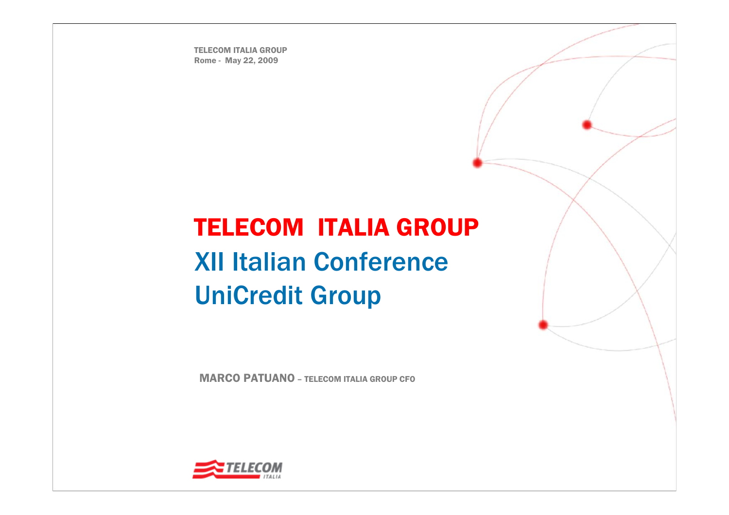TELECOM ITALIA GROUPRome - May 22, 2009

# TELECOM ITALIA GROUP XII Italian ConferenceUniCredit Group

MARCO PATUANO – TELECOM ITALIA GROUP CFO

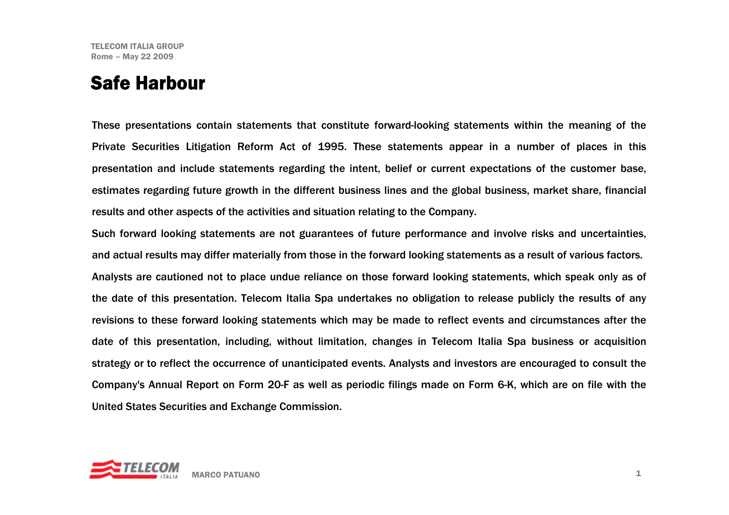#### Safe Harbour

These presentations contain statements that constitute forward-looking statements within the meaning of the Private Securities Litigation Reform Act of 1995. These statements appear in a number of places in this presentation and include statements regarding the intent, belief or current expectations of the customer base, estimates regarding future growth in the different business lines and the global business, market share, financial results and other aspects of the activities and situation relating to the Company.

Such forward looking statements are not guarantees of future performance and involve risks and uncertainties, and actual results may differ materially from those in the forward looking statements as a result of various factors. Analysts are cautioned not to place undue reliance on those forward looking statements, which speak only as of the date of this presentation. Telecom Italia Spa undertakes no obligation to release publicly the results of any revisions to these forward looking statements which may be made to reflect events and circumstances after the date of this presentation, including, without limitation, changes in Telecom Italia Spa business or acquisition strategy or to reflect the occurrence of unanticipated events. Analysts and investors are encouraged to consult the Company's Annual Report on Form 20-F as well as periodic filings made on Form 6-K, which are on file with the United States Securities and Exchange Commission.

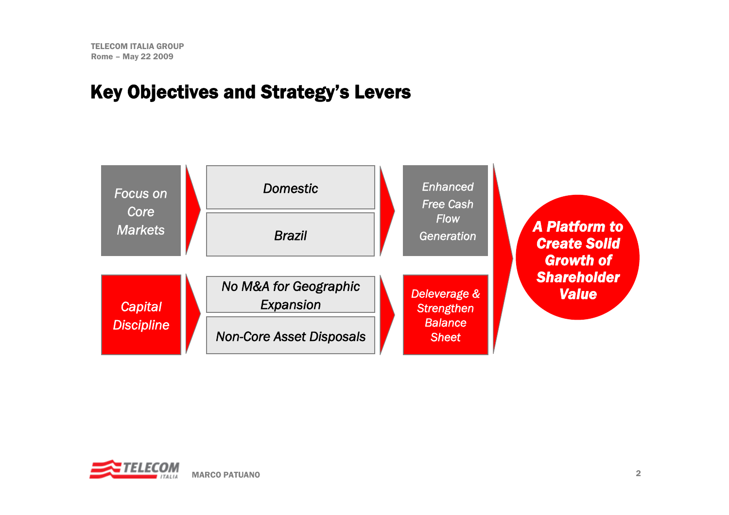#### Key Objectives and Strategy's Levers



 *A Platform to Create Solid Growth of Shareholder Value*

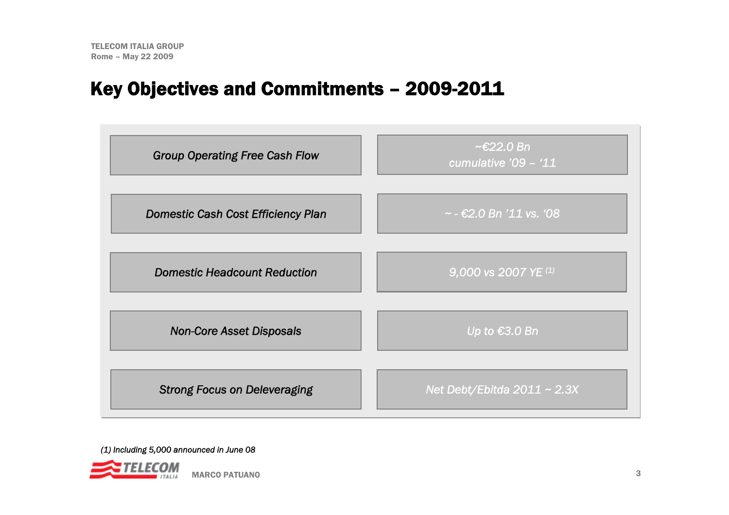#### Key Objectives and Commitments – 2009-2011



*(1) Including 5,000 announced in June 08*

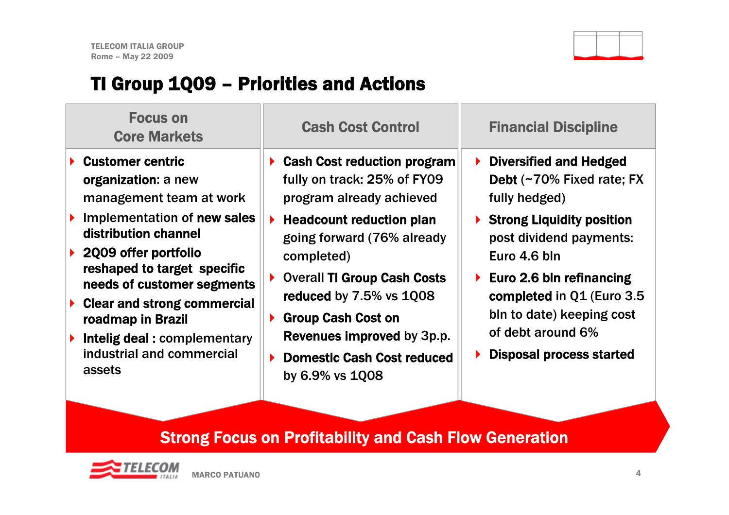

# TI Group 1Q09 – Priorities and Actions

| <b>Focus on</b><br><b>Core Markets</b>                                                                                                                                                                                                                                                                                                                 | <b>Cash Cost Control</b>                                                                                                                                                                                                                                                                                                                                                                            | <b>Financial Discipline</b>                                                                                                                                                                                                                                                                                    |
|--------------------------------------------------------------------------------------------------------------------------------------------------------------------------------------------------------------------------------------------------------------------------------------------------------------------------------------------------------|-----------------------------------------------------------------------------------------------------------------------------------------------------------------------------------------------------------------------------------------------------------------------------------------------------------------------------------------------------------------------------------------------------|----------------------------------------------------------------------------------------------------------------------------------------------------------------------------------------------------------------------------------------------------------------------------------------------------------------|
| <b>Customer centric</b><br>organization: a new<br>management team at work<br>Implementation of new sales<br>distribution channel<br>2009 offer portfolio<br>reshaped to target specific<br>needs of customer segments<br><b>Clear and strong commercial</b><br>roadmap in Brazil<br>Intelig deal: complementary<br>industrial and commercial<br>assets | <b>Cash Cost reduction program</b><br>fully on track: 25% of FY09<br>program already achieved<br><b>Headcount reduction plan</b><br>$\blacktriangleright$<br>going forward (76% already<br>completed)<br><b>Overall TI Group Cash Costs</b><br>▶<br>reduced by 7.5% vs 1Q08<br><b>Group Cash Cost on</b><br>▶<br>Revenues improved by 3p.p.<br><b>Domestic Cash Cost reduced</b><br>by 6.9% vs 1008 | $\triangleright$ Diversified and Hedged<br>Debt (~70% Fixed rate; FX<br>fully hedged)<br>▶ Strong Liquidity position<br>post dividend payments:<br>Euro 4.6 bln<br>Euro 2.6 bln refinancing<br>completed in Q1 (Euro 3.5)<br>bln to date) keeping cost<br>of debt around 6%<br><b>Disposal process started</b> |
|                                                                                                                                                                                                                                                                                                                                                        |                                                                                                                                                                                                                                                                                                                                                                                                     |                                                                                                                                                                                                                                                                                                                |

#### Strong Focus on Profitability and Cash Flow Generation

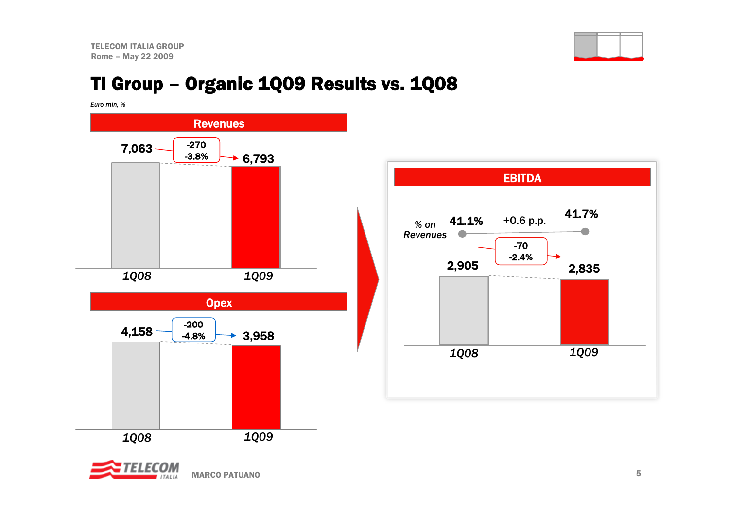TELECOM ITALIA GROUPRome – May 22 2009



### TI Group – Organic 1Q09 Results vs. 1Q08

*Euro mln, %*





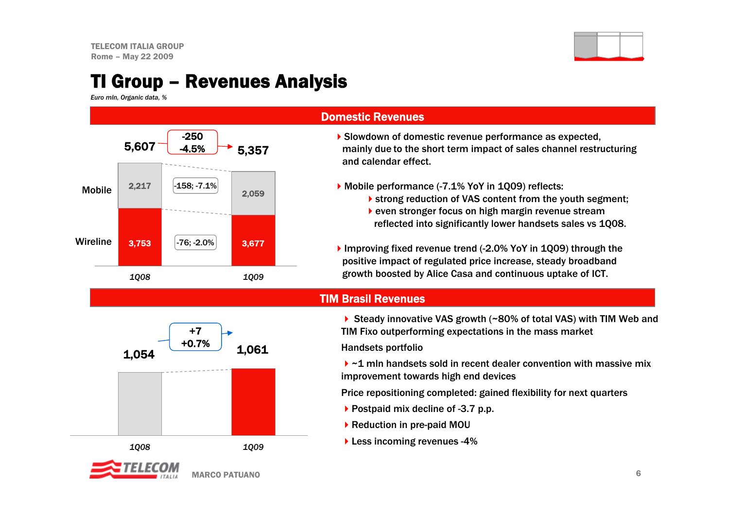

#### TI Group – Revenues Analysis

*Euro mln, Organic data, %*



#### Domestic Revenues

- Slowdown of domestic revenue performance as expected, mainly due to the short term impact of sales channel restructuring and calendar effect.
- ▶ Mobile performance (-7.1% YoY in 1Q09) reflects:
	- **Strong reduction of VAS content from the youth segment;**
	- even stronger focus on high margin revenue stream reflected into significantly lower handsets sales vs 1Q08.
- Improving fixed revenue trend (-2.0% YoY in 1Q09) through the positive impact of regulated price increase, steady broadband growth boosted by Alice Casa and continuous uptake of ICT.

#### TIM Brasil Revenues

![](_page_6_Figure_12.jpeg)

▶ Steady innovative VAS growth (~80% of total VAS) with TIM Web and TIM Fixo outperforming expectations in the mass market

Handsets portfolio

 $\triangleright$   $\sim$  1 mln handsets sold in recent dealer convention with massive mix improvement towards high end devices

Price repositioning completed: gained flexibility for next quarters

- ▶ Postpaid mix decline of -3.7 p.p.
- ▶ Reduction in pre-paid MOU
- **Less incoming revenues -4%**

![](_page_6_Picture_20.jpeg)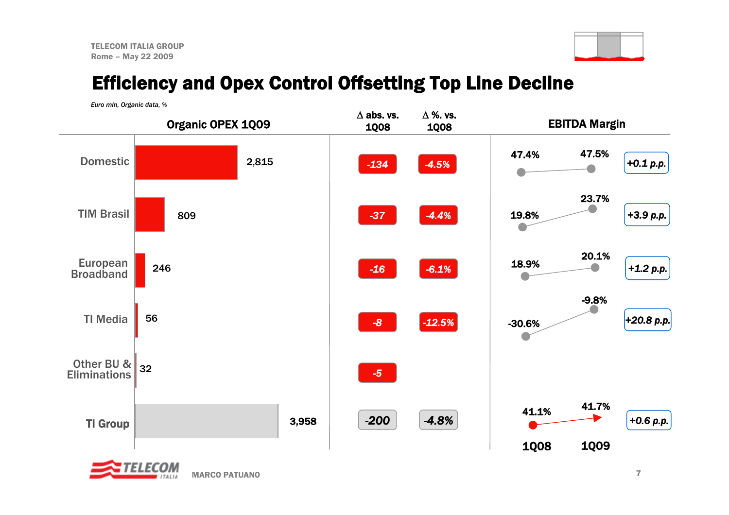![](_page_7_Picture_1.jpeg)

### Efficiency and Opex Control Offsetting Top Line Decline

*Euro mln, Organic data, %*

![](_page_7_Figure_4.jpeg)

![](_page_7_Picture_5.jpeg)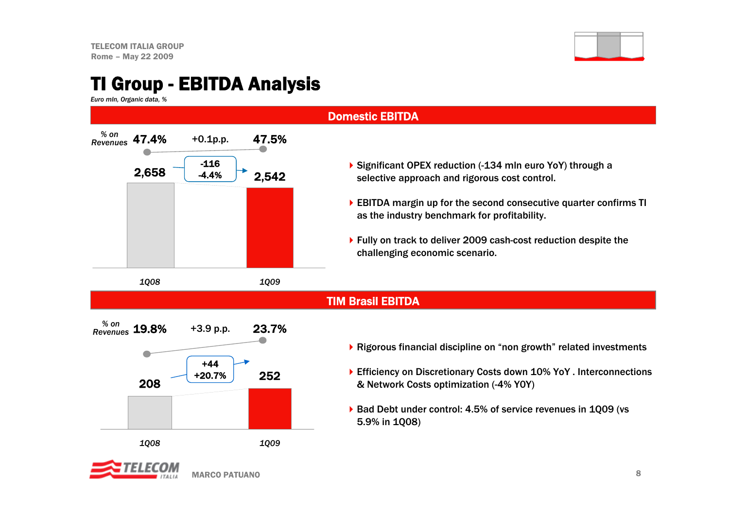![](_page_8_Picture_1.jpeg)

#### TI Group - EBITDA Analysis

+0.1p.p. 47.5% *% on Revenues*

 $2,658$  4.4%  $\rightarrow$  2.542 -116-4.4%

*1Q08 1Q09*

*Euro mln, Organic data, %*

47.4%

![](_page_8_Figure_4.jpeg)

- ▶ Significant OPEX reduction (-134 mln euro YoY) through a selective approach and rigorous cost control.
- EBITDA margin up for the second consecutive quarter confirms TI as the industry benchmark for profitability.
- ▶ Fully on track to deliver 2009 cash-cost reduction despite the challenging economic scenario.

TIM Brasil EBITDA

![](_page_8_Figure_9.jpeg)

MARCO PATUANO

- Rigorous financial discipline on "non growth" related investments
- ▶ Efficiency on Discretionary Costs down 10% YoY . Interconnections & Network Costs optimization (-4% Y0Y)
- ▶ Bad Debt under control: 4.5% of service revenues in 1009 (vs 5.9% in 1Q08)

![](_page_8_Picture_13.jpeg)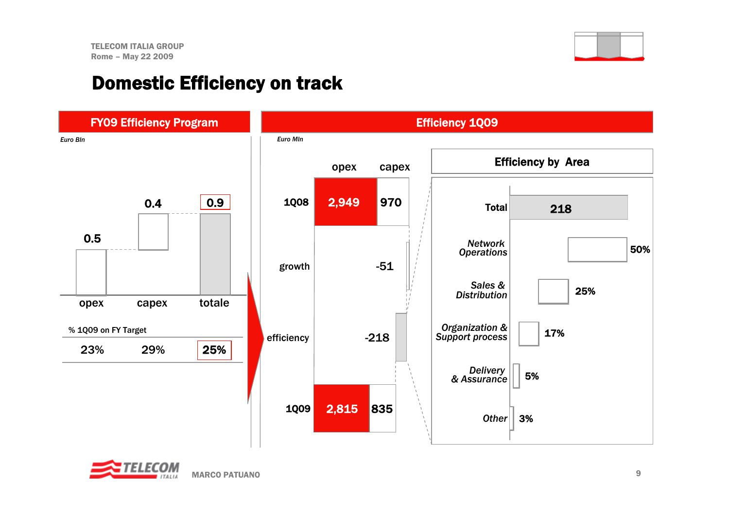#### Domestic Efficiency on track

![](_page_9_Figure_3.jpeg)

![](_page_9_Picture_4.jpeg)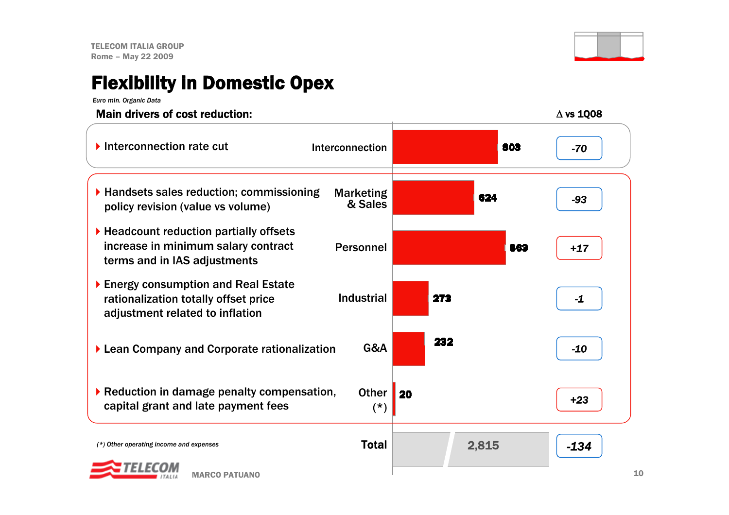### Flexibility in Domestic Opex

*Euro mln. Organic Data*

![](_page_10_Figure_3.jpeg)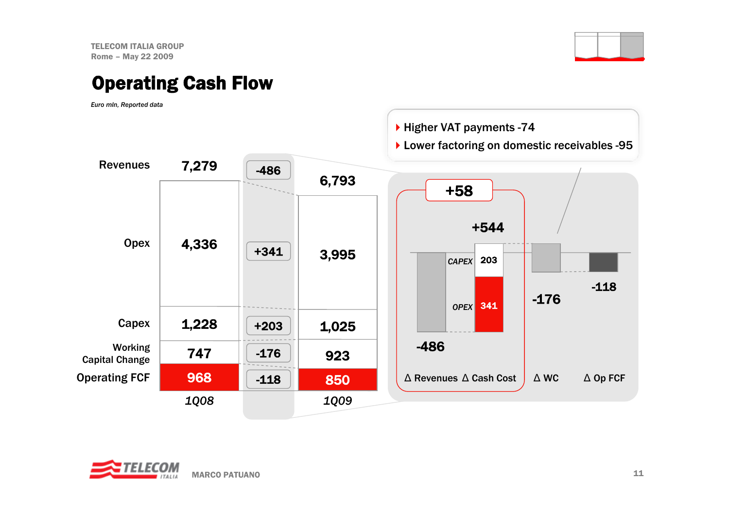TELECOM ITALIA GROUPRome – May 22 2009

#### Operating Cash Flow

*Euro mln, Reported data*

![](_page_11_Figure_4.jpeg)

![](_page_11_Picture_5.jpeg)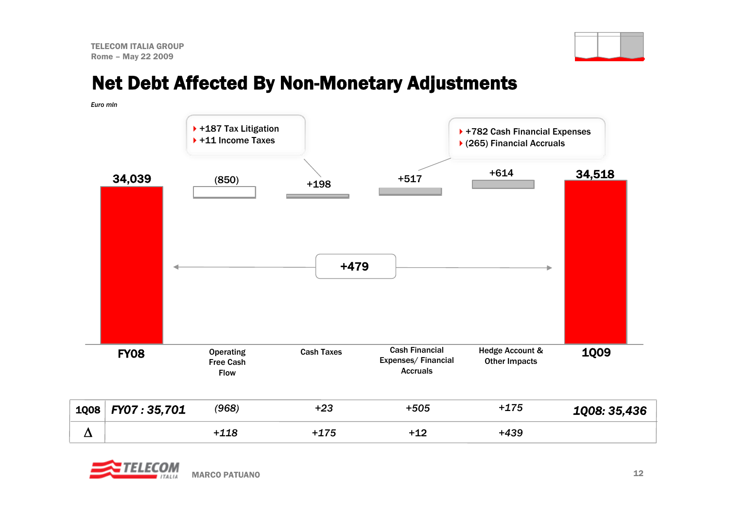![](_page_12_Picture_1.jpeg)

#### Net Debt Affected By Non-Monetary Adjustments

| Euro mln |             |                                                     |                   |                                                                |                                                              |              |
|----------|-------------|-----------------------------------------------------|-------------------|----------------------------------------------------------------|--------------------------------------------------------------|--------------|
|          |             | ▶ +187 Tax Litigation<br>▶ +11 Income Taxes         |                   |                                                                | ▶ +782 Cash Financial Expenses<br>▶ (265) Financial Accruals |              |
|          | 34,039      | (850)                                               | $+198$            | $+517$                                                         | $+614$                                                       | 34,518       |
|          |             |                                                     | $+479$            |                                                                |                                                              |              |
|          | <b>FY08</b> | <b>Operating</b><br><b>Free Cash</b><br><b>Flow</b> | <b>Cash Taxes</b> | <b>Cash Financial</b><br>Expenses/Financial<br><b>Accruals</b> | Hedge Account &<br><b>Other Impacts</b>                      | <b>1Q09</b>  |
| 1Q08     | FY07:35,701 | (968)                                               | $+23$             | $+505$                                                         | $+175$                                                       | 1Q08: 35,436 |
| $\Delta$ |             | $+118$                                              | $+175$            | $+12$                                                          | $+439$                                                       |              |

![](_page_12_Picture_4.jpeg)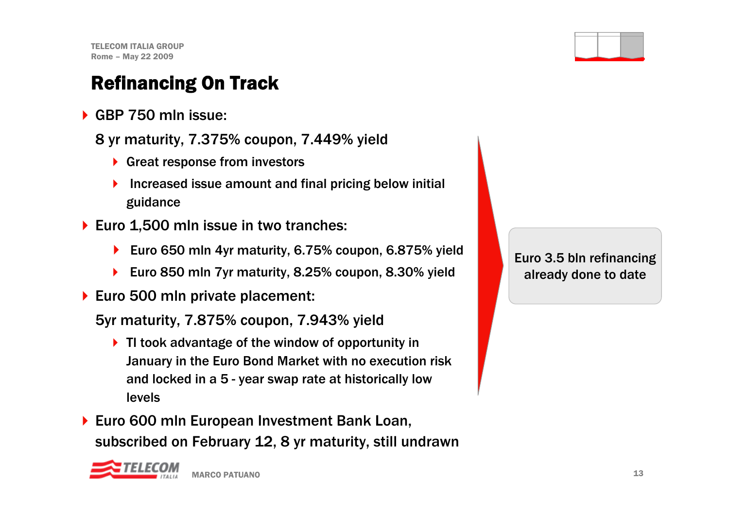### Refinancing On Track

- ▶ GBP 750 mln issue:
	- 8 yr maturity, 7.375% coupon, 7.449% yield
		- ▶ Great response from investors
		- $\blacktriangleright$  Increased issue amount and final pricing below initial guidance
- ▶ Euro 1,500 mln issue in two tranches:
	- ▶ Euro 650 mln 4yr maturity, 6.75% coupon, 6.875% yield
	- ▶ Euro 850 mln 7yr maturity, 8.25% coupon, 8.30% yield
- ▶ Euro 500 mln private placement:

5yr maturity, 7.875% coupon, 7.943% yield

- ▶ TI took advantage of the window of opportunity in January in the Euro Bond Market with no execution risk and locked in a 5 - year swap rate at historically low levels
- ▶ Euro 600 mln European Investment Bank Loan, subscribed on February 12, 8 yr maturity, still undrawn

![](_page_13_Picture_13.jpeg)

![](_page_13_Figure_14.jpeg)

Euro 3.5 bln refinancing already done to date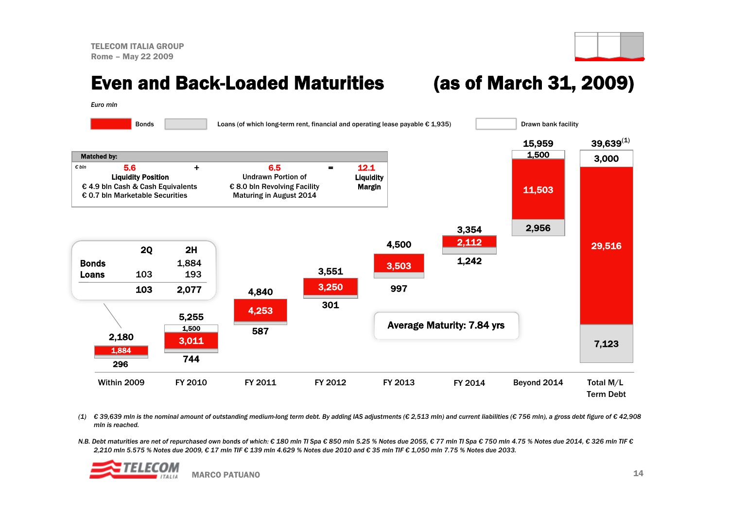#### Even and Back-Loaded Maturities (as of March 31, 2009)

*Euro mln*

![](_page_14_Figure_5.jpeg)

(1)  $\epsilon$  39,639 mln is the nominal amount of outstanding medium-long term debt. By adding IAS adjustments ( $\epsilon$  2,513 mln) and current liabilities ( $\epsilon$  756 mln), a gross debt figure of  $\epsilon$  42,908 *mln is reached.*

*N.B. Debt maturities are net of repurchased own bonds of which: € 180 mln TI Spa € 850 mln 5.25 % Notes due 2055, € 77 mln TI Spa € 750 mln 4.75 % Notes due 2014, € 326 mln TIF € 2,210 mln 5.575 % Notes due 2009, € 17 mln TIF € 139 mln 4.629 % Notes due 2010 and € 35 mln TIF € 1,050 mln 7.75 % Notes due 2033.*

![](_page_14_Picture_8.jpeg)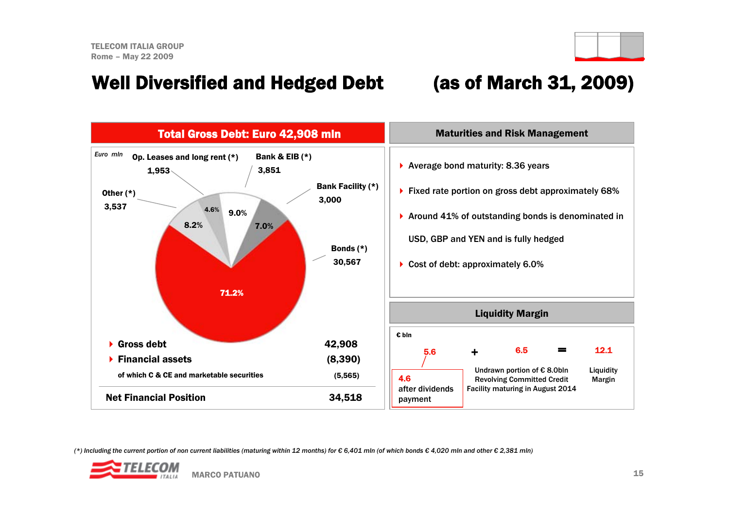#### Well Diversified and Hedged Debt (as of March 31, 2009)

![](_page_15_Figure_3.jpeg)

*(\*) Including the current portion of non current liabilities (maturing within 12 months) for € 6,401 mln (of which bonds € 4,020 mln and other € 2,381 mln)*

![](_page_15_Picture_5.jpeg)